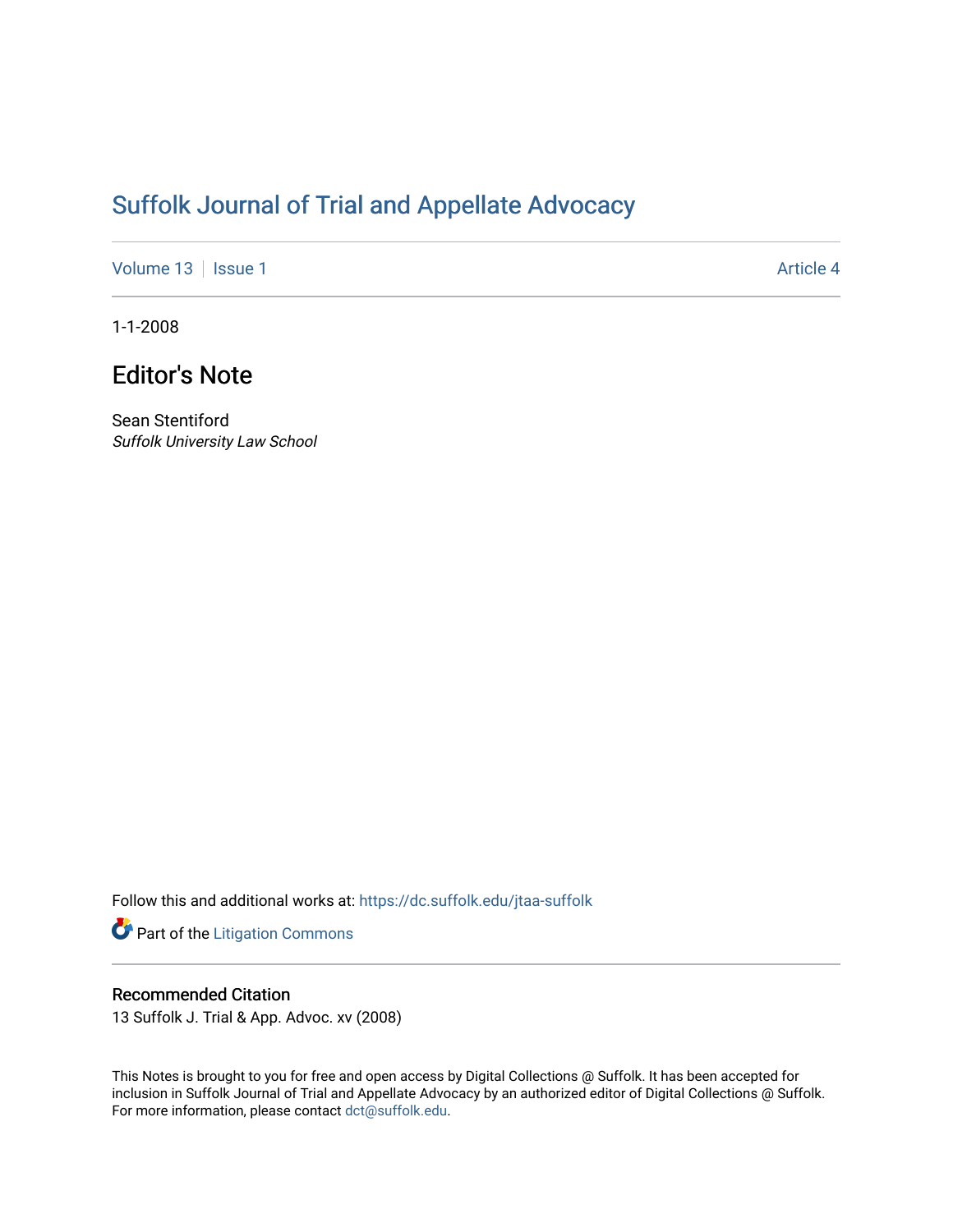## [Suffolk Journal of Trial and Appellate Advocacy](https://dc.suffolk.edu/jtaa-suffolk)

[Volume 13](https://dc.suffolk.edu/jtaa-suffolk/vol13) | [Issue 1](https://dc.suffolk.edu/jtaa-suffolk/vol13/iss1) Article 4

1-1-2008

## Editor's Note

Sean Stentiford Suffolk University Law School

Follow this and additional works at: [https://dc.suffolk.edu/jtaa-suffolk](https://dc.suffolk.edu/jtaa-suffolk?utm_source=dc.suffolk.edu%2Fjtaa-suffolk%2Fvol13%2Fiss1%2F4&utm_medium=PDF&utm_campaign=PDFCoverPages) 

Part of the [Litigation Commons](https://network.bepress.com/hgg/discipline/910?utm_source=dc.suffolk.edu%2Fjtaa-suffolk%2Fvol13%2Fiss1%2F4&utm_medium=PDF&utm_campaign=PDFCoverPages)

## Recommended Citation

13 Suffolk J. Trial & App. Advoc. xv (2008)

This Notes is brought to you for free and open access by Digital Collections @ Suffolk. It has been accepted for inclusion in Suffolk Journal of Trial and Appellate Advocacy by an authorized editor of Digital Collections @ Suffolk. For more information, please contact [dct@suffolk.edu](mailto:dct@suffolk.edu).